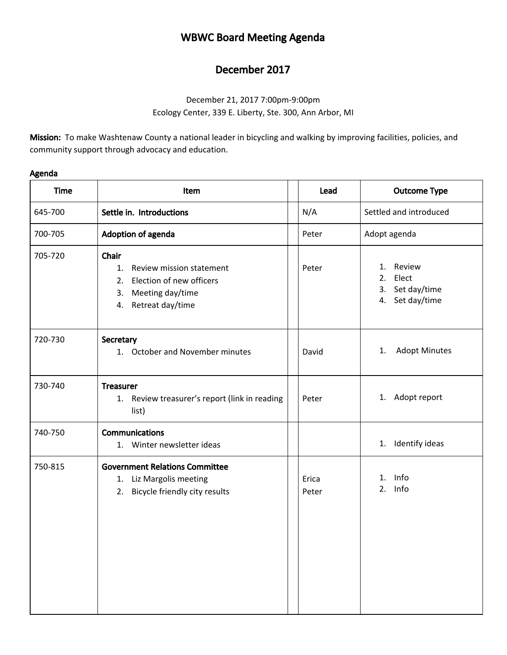## WBWC Board Meeting Agenda

## December 2017

December 21, 2017 7:00pm-9:00pm Ecology Center, 339 E. Liberty, Ste. 300, Ann Arbor, MI

Mission: To make Washtenaw County a national leader in bicycling and walking by improving facilities, policies, and community support through advocacy and education.

| Agenda |
|--------|
|--------|

| <b>Time</b> | Item                                                                                                                 | Lead           | <b>Outcome Type</b>                                               |
|-------------|----------------------------------------------------------------------------------------------------------------------|----------------|-------------------------------------------------------------------|
| 645-700     | Settle in. Introductions                                                                                             | N/A            | Settled and introduced                                            |
| 700-705     | Adoption of agenda                                                                                                   | Peter          | Adopt agenda                                                      |
| 705-720     | Chair<br>1.<br>Review mission statement<br>2. Election of new officers<br>3. Meeting day/time<br>4. Retreat day/time | Peter          | Review<br>1.<br>2.<br>Elect<br>3. Set day/time<br>4. Set day/time |
| 720-730     | Secretary<br>1. October and November minutes                                                                         | David          | <b>Adopt Minutes</b><br>1.                                        |
| 730-740     | <b>Treasurer</b><br>1. Review treasurer's report (link in reading<br>list)                                           | Peter          | 1. Adopt report                                                   |
| 740-750     | <b>Communications</b><br>1. Winter newsletter ideas                                                                  |                | Identify ideas<br>1.                                              |
| 750-815     | <b>Government Relations Committee</b><br>1. Liz Margolis meeting<br>2. Bicycle friendly city results                 | Erica<br>Peter | Info<br>1.<br>2. Info                                             |